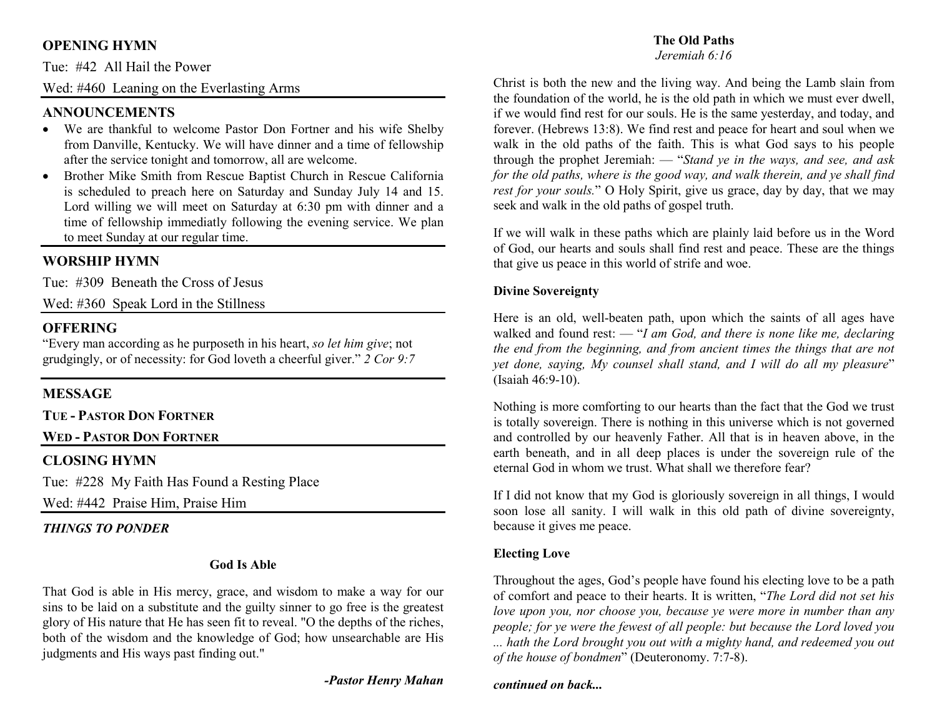## **OPENING HYMN**

Tue: #42 All Hail the Power

Wed: #460 Leaning on the Everlasting Arms

## **ANNOUNCEMENTS**

- We are thankful to welcome Pastor Don Fortner and his wife Shelby from Danville, Kentucky. We will have dinner and a time of fellowship after the service tonight and tomorrow, all are welcome.
- Brother Mike Smith from Rescue Baptist Church in Rescue California •is scheduled to preach here on Saturday and Sunday July 14 and 15. Lord willing we will meet on Saturday at 6:30 pm with dinner and a time of fellowship immediatly following the evening service. We plan to meet Sunday at our regular time.

## **WORSHIP HYMN**

Tue: #309 Beneath the Cross of Jesus

Wed: #360 Speak Lord in the Stillness

### **OFFERING**

 "Every man according as he purposeth in his heart, *so let him give*; not grudgingly, or of necessity: for God loveth a cheerful giver." *2 Cor 9:7*

#### **MESSAGE**

**TUE - <sup>P</sup>ASTOR DON FORTNER**

## **WED - <sup>P</sup>ASTOR DON FORTNER**

## **CLOSING HYMN**

Tue: #228 My Faith Has Found a Resting Place

Wed: #442 Praise Him, Praise Him

#### *THINGS TO PONDER*

#### **God Is Able**

That God is able in His mercy, grace, and wisdom to make a way for our sins to be laid on a substitute and the guilty sinner to go free is the greatest glory of His nature that He has seen fit to reveal. "O the depths of the riches, both of the wisdom and the knowledge of God; how unsearchable are His judgments and His ways past finding out."

#### *-Pastor Henry Mahan*

## **The Old Paths**

#### *Jeremiah 6:16*

Christ is both the new and the living way. And being the Lamb slain from the foundation of the world, he is the old path in which we must ever dwell, if we would find rest for our souls. He is the same yesterday, and today, and forever. (Hebrews 13:8). We find rest and peace for heart and soul when we walk in the old paths of the faith. This is what God says to his people through the prophet Jeremiah: — "*Stand ye in the ways, and see, and ask* for the old paths, where is the good way, and walk therein, and ye shall find *rest for your souls.*" O Holy Spirit, give us grace, day by day, that we may seek and walk in the old paths of gospel truth.

If we will walk in these paths which are plainly laid before us in the Word of God, our hearts and souls shall find rest and peace. These are the things that give us peace in this world of strife and woe.

#### **Divine Sovereignty**

Here is an old, well-beaten path, upon which the saints of all ages have walked and found rest: — "*I am God, and there is none like me, declaring the end from the beginning, and from ancient times the things that are not yet done, saying, My counsel shall stand, and I will do all my pleasure*" (Isaiah 46:9-10).

Nothing is more comforting to our hearts than the fact that the God we trust is totally sovereign. There is nothing in this universe which is not governed and controlled by our heavenly Father. All that is in heaven above, in the earth beneath, and in all deep places is under the sovereign rule of the eternal God in whom we trust. What shall we therefore fear?

If I did not know that my God is gloriously sovereign in all things, I would soon lose all sanity. I will walk in this old path of divine sovereignty, because it gives me peace.

#### **Electing Love**

Throughout the ages, God's people have found his electing love to be a path of comfort and peace to their hearts. It is written, "*The Lord did not set his love upon you, nor choose you, because ye were more in number than any people; for ye were the fewest of all people: but because the Lord loved you ... hath the Lord brought you out with a mighty hand, and redeemed you out of the house of bondmen*" (Deuteronomy. 7:7-8).

#### *continued on back...*